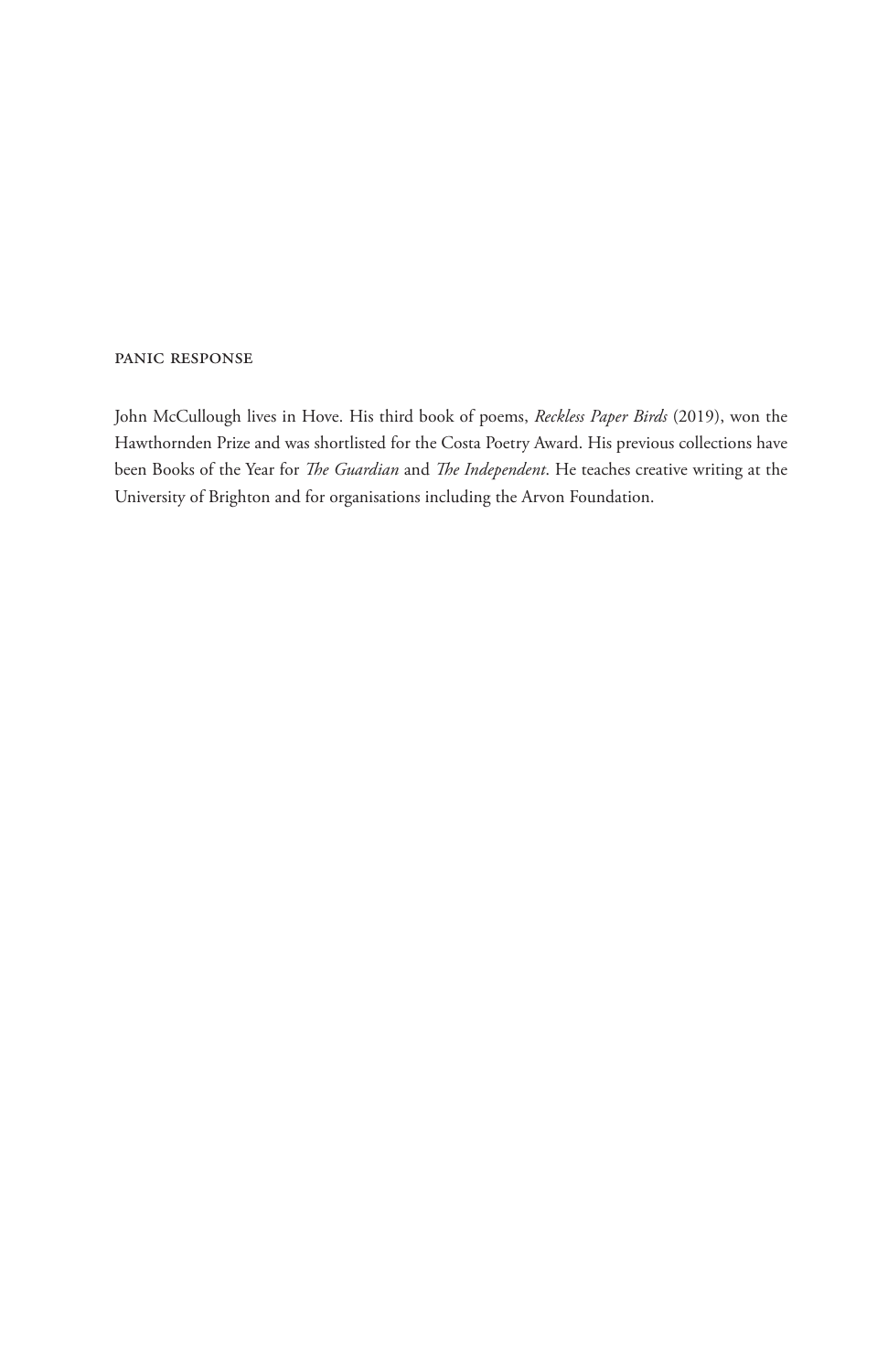#### panic response

John McCullough lives in Hove. His third book of poems, *Reckless Paper Birds* (2019), won the Hawthornden Prize and was shortlisted for the Costa Poetry Award. His previous collections have been Books of the Year for *The Guardian* and *The Independent*. He teaches creative writing at the University of Brighton and for organisations including the Arvon Foundation.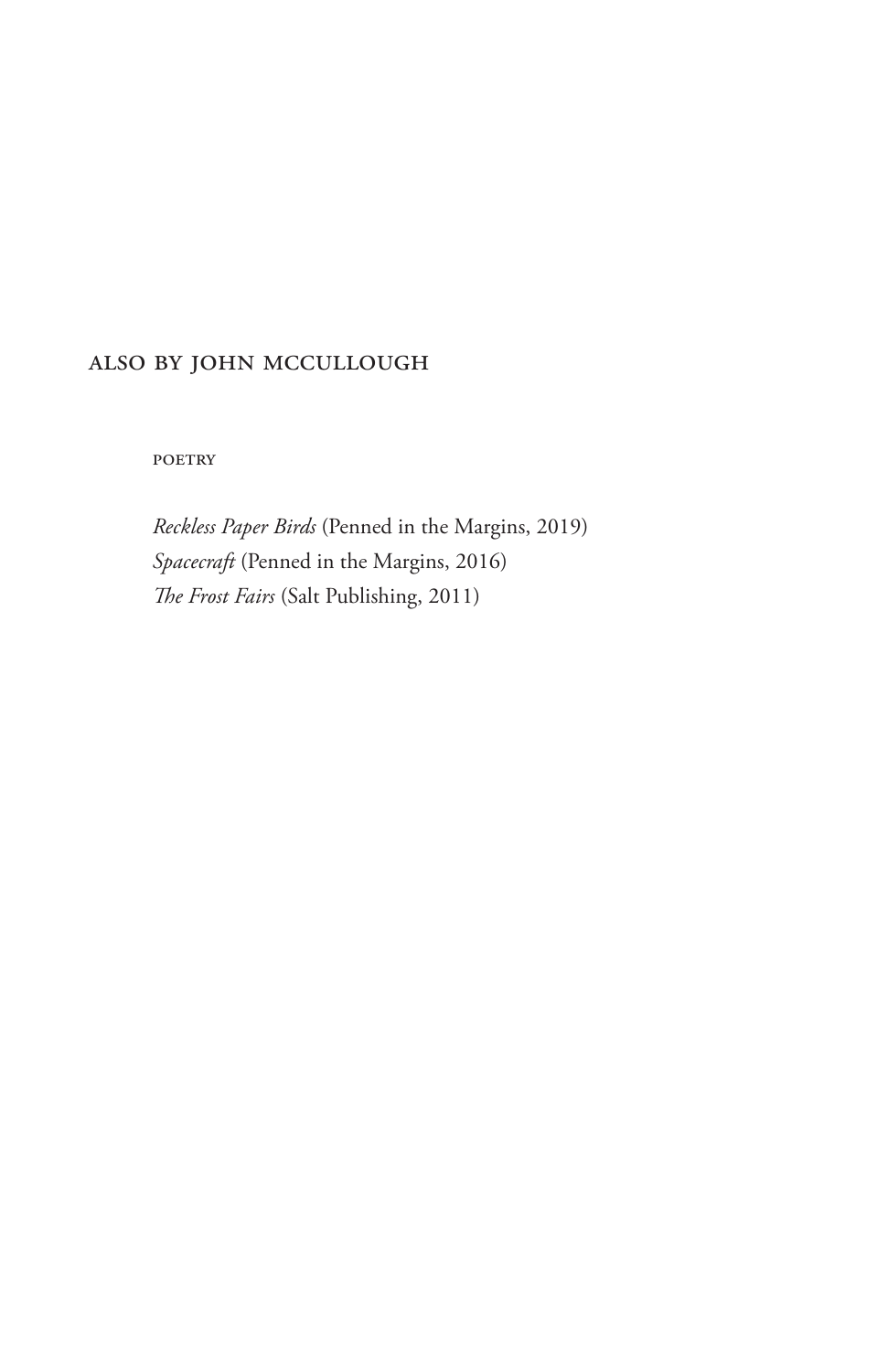### also by john mccullough

**POETRY** 

*Reckless Paper Birds* (Penned in the Margins, 2019) *Spacecraft* (Penned in the Margins, 2016) *The Frost Fairs* (Salt Publishing, 2011)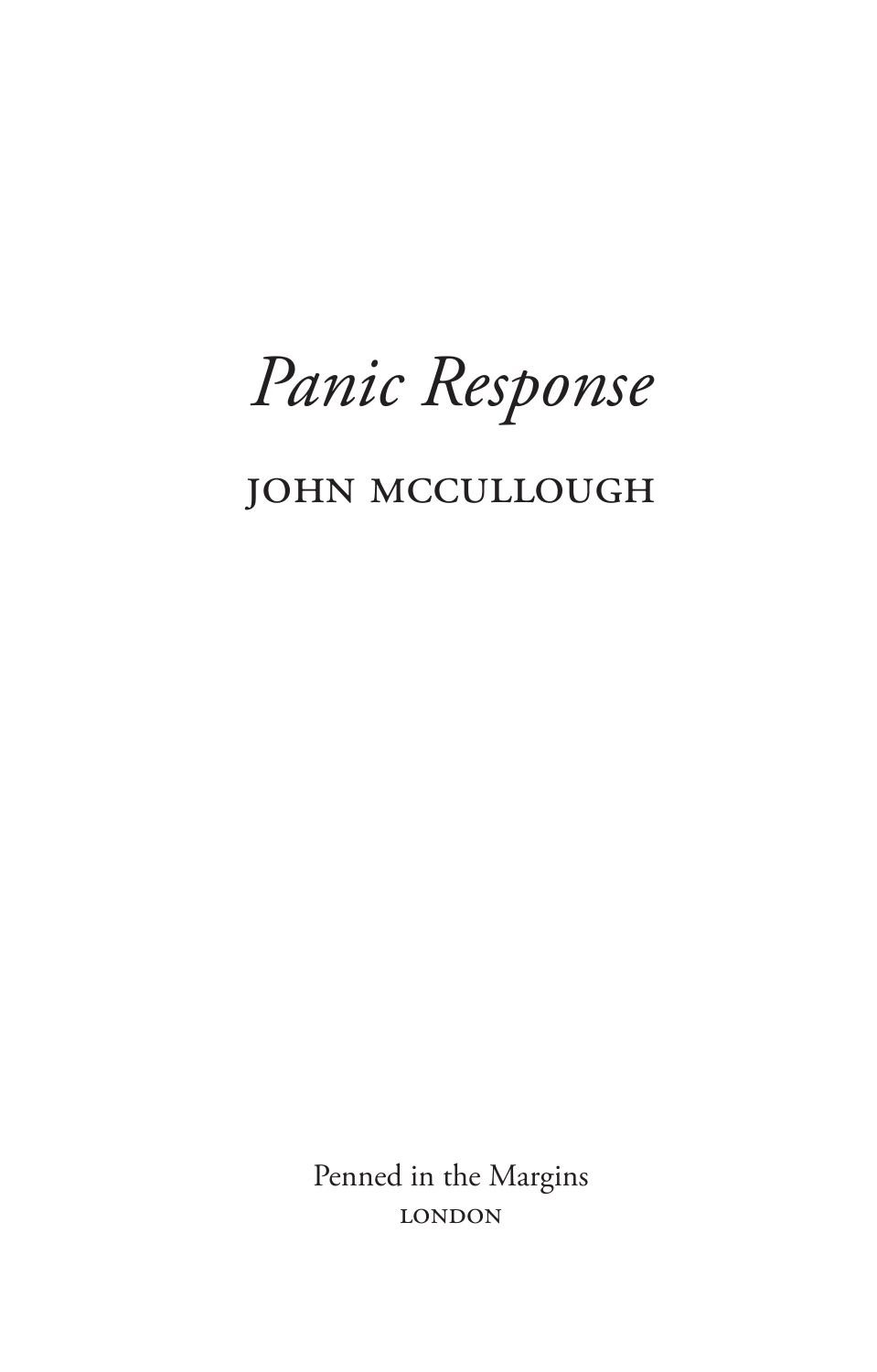Panic Response

# **JOHN MCCULLOUGH**

Penned in the Margins **LONDON**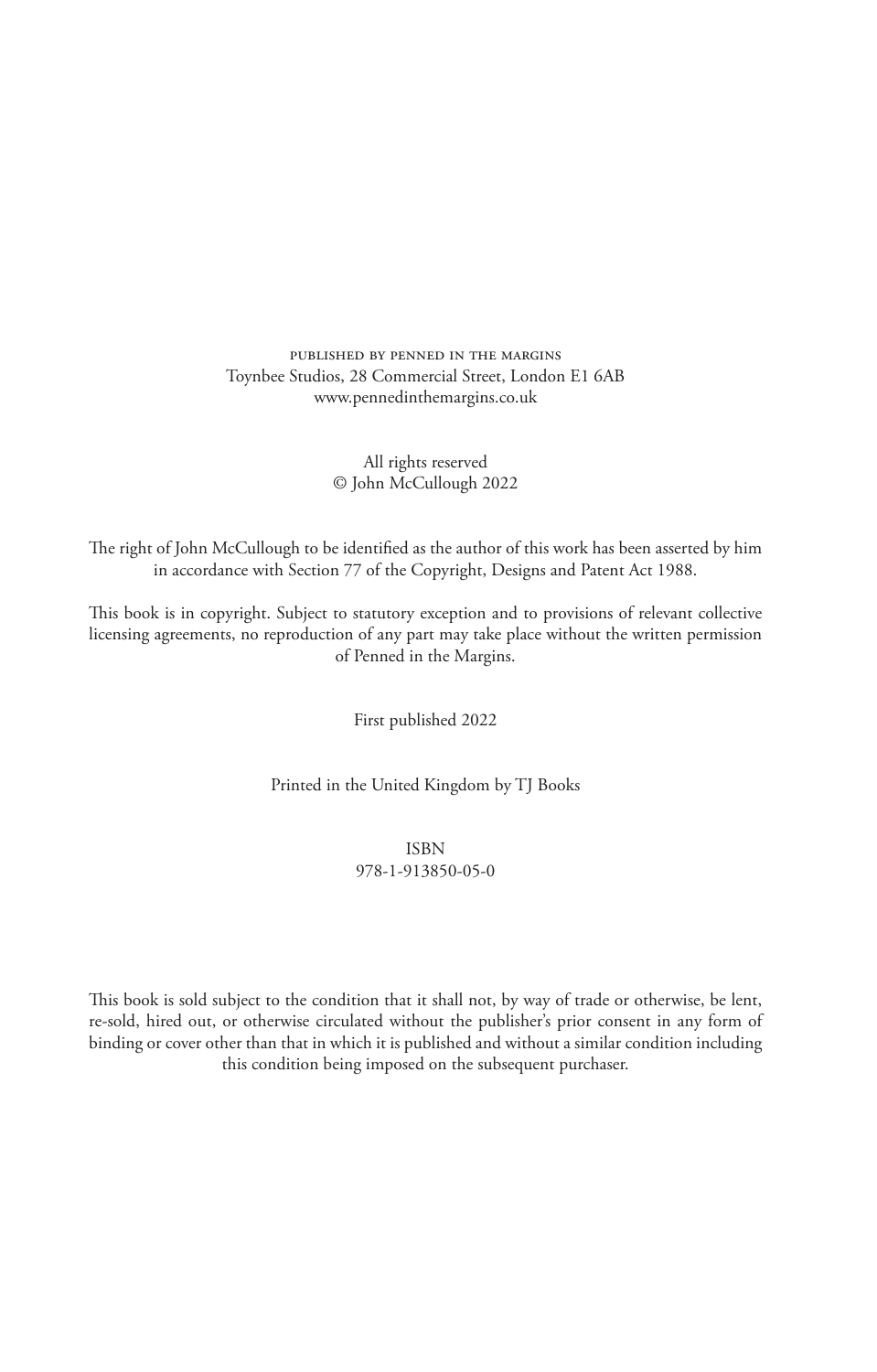#### published by penned in the margins Toynbee Studios, 28 Commercial Street, London E1 6AB www.pennedinthemargins.co.uk

#### All rights reserved © John McCullough 2022

The right of John McCullough to be identified as the author of this work has been asserted by him in accordance with Section 77 of the Copyright, Designs and Patent Act 1988.

This book is in copyright. Subject to statutory exception and to provisions of relevant collective licensing agreements, no reproduction of any part may take place without the written permission of Penned in the Margins.

First published 2022

Printed in the United Kingdom by TJ Books

ISBN 978-1-913850-05-0

This book is sold subject to the condition that it shall not, by way of trade or otherwise, be lent, re-sold, hired out, or otherwise circulated without the publisher's prior consent in any form of binding or cover other than that in which it is published and without a similar condition including this condition being imposed on the subsequent purchaser.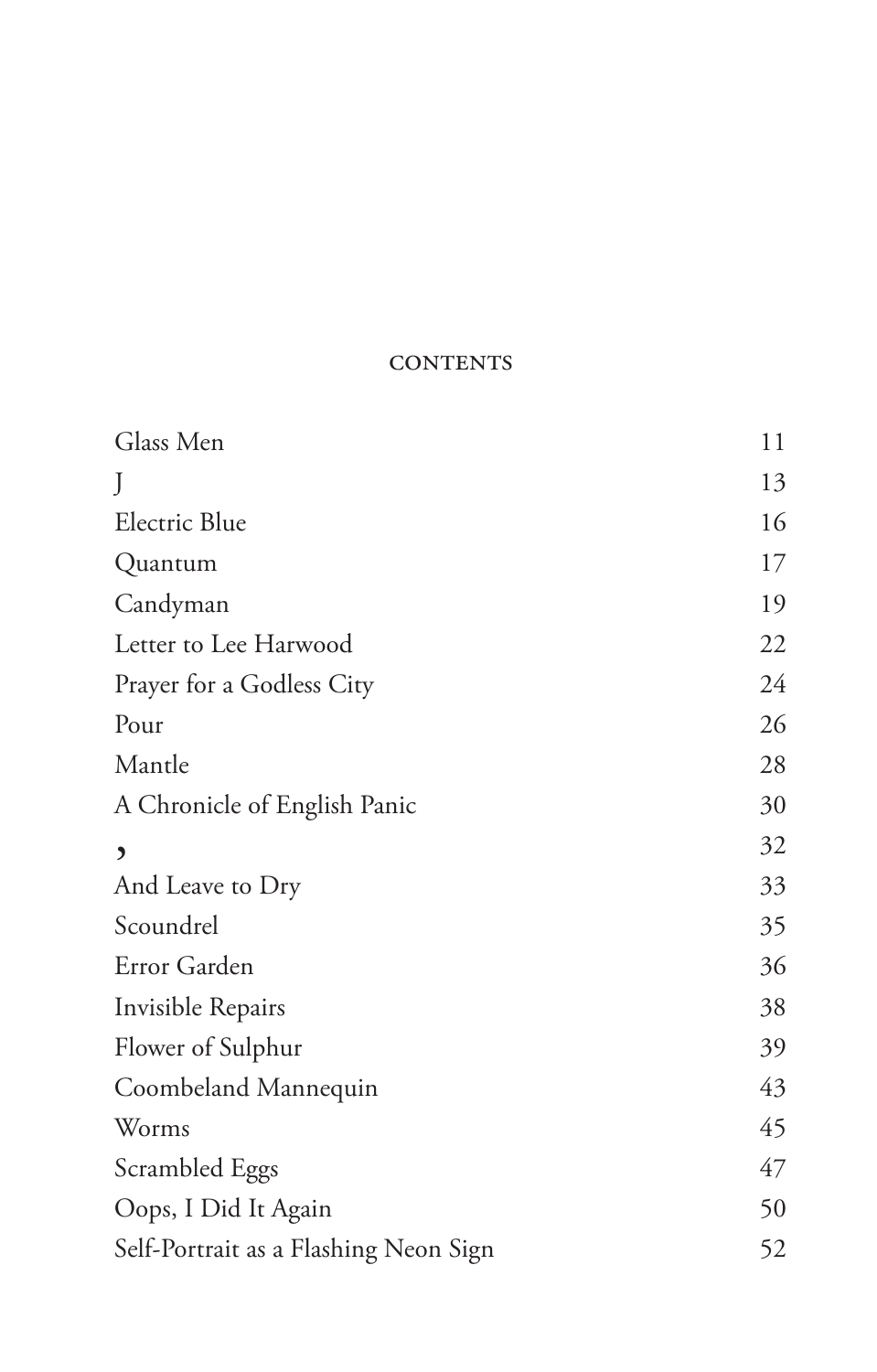## **CONTENTS**

| Glass Men                             | 11 |
|---------------------------------------|----|
| J                                     | 13 |
| Electric Blue                         | 16 |
| Quantum                               | 17 |
| Candyman                              | 19 |
| Letter to Lee Harwood                 | 22 |
| Prayer for a Godless City             | 24 |
| Pour                                  | 26 |
| Mantle                                | 28 |
| A Chronicle of English Panic          | 30 |
| $\mathbf{z}$                          | 32 |
| And Leave to Dry                      | 33 |
| Scoundrel                             | 35 |
| Error Garden                          | 36 |
| Invisible Repairs                     | 38 |
| Flower of Sulphur                     | 39 |
| Coombeland Mannequin                  | 43 |
| Worms                                 | 45 |
| Scrambled Eggs                        | 47 |
| Oops, I Did It Again                  | 50 |
| Self-Portrait as a Flashing Neon Sign | 52 |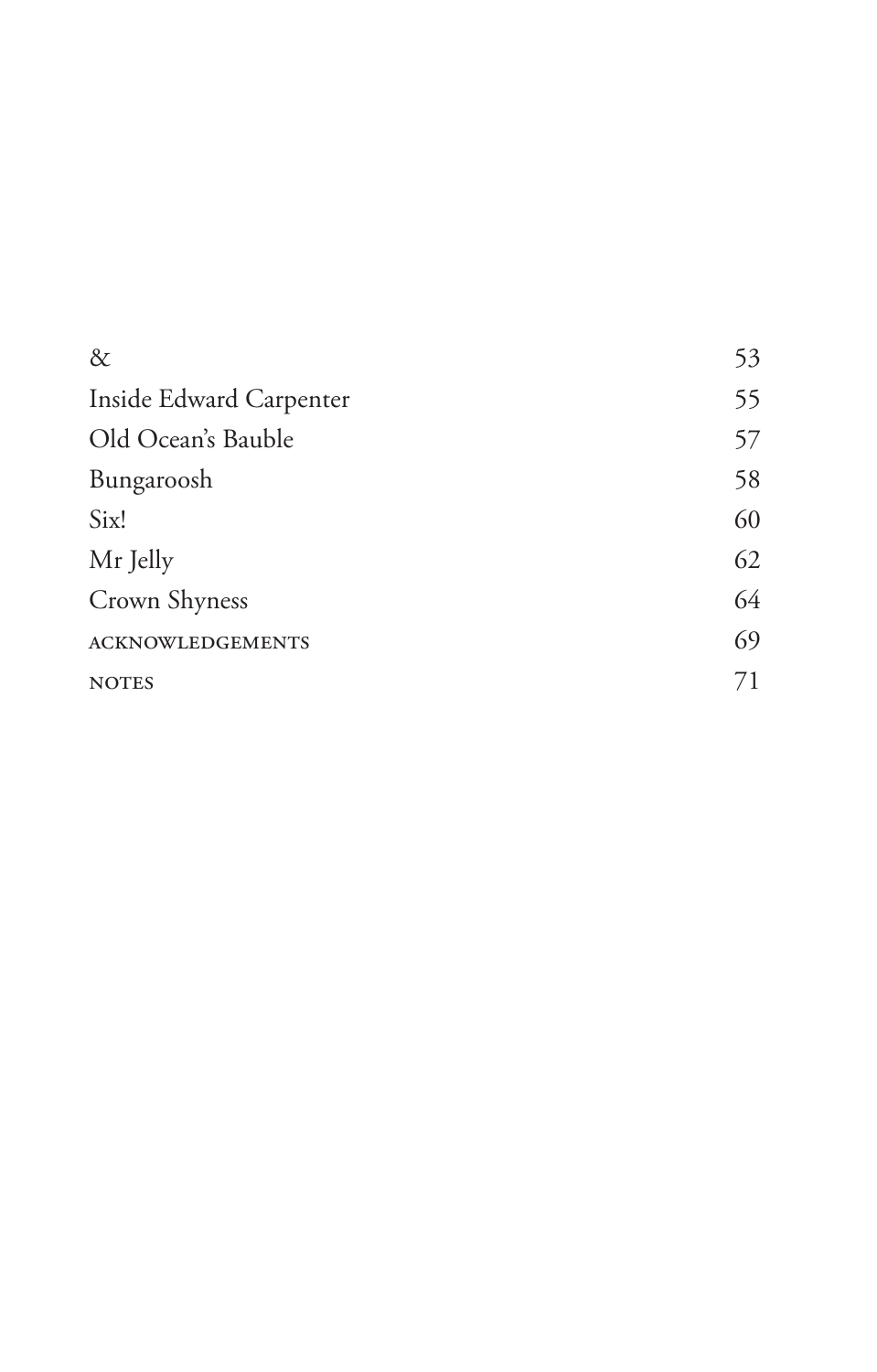| $\&$                    | 53 |
|-------------------------|----|
| Inside Edward Carpenter | 55 |
| Old Ocean's Bauble      | 57 |
| Bungaroosh              | 58 |
| Six!                    | 60 |
| Mr Jelly                | 62 |
| Crown Shyness           | 64 |
| <b>ACKNOWLEDGEMENTS</b> | 69 |
| <b>NOTES</b>            | 71 |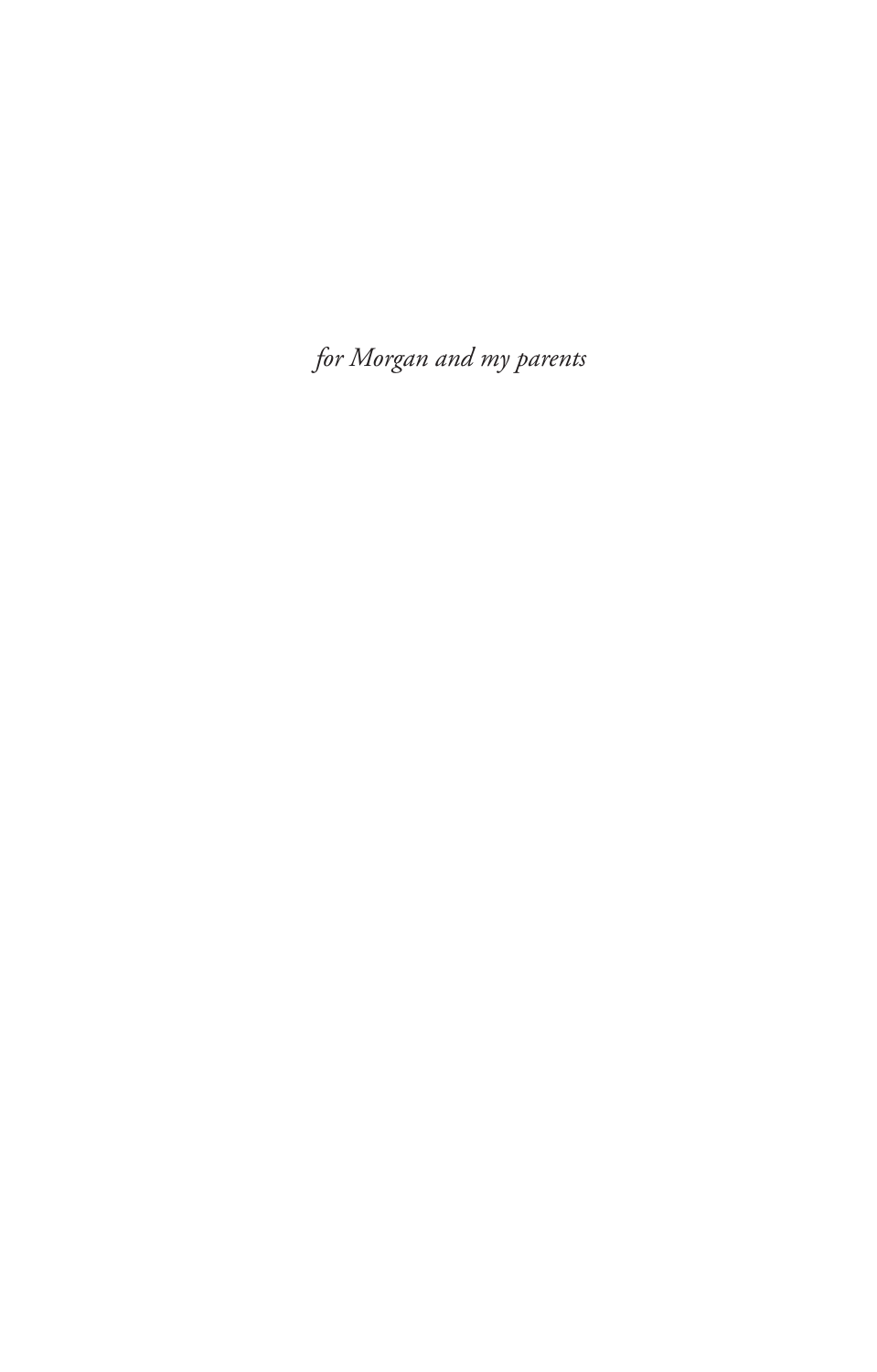*for Morgan and my parents*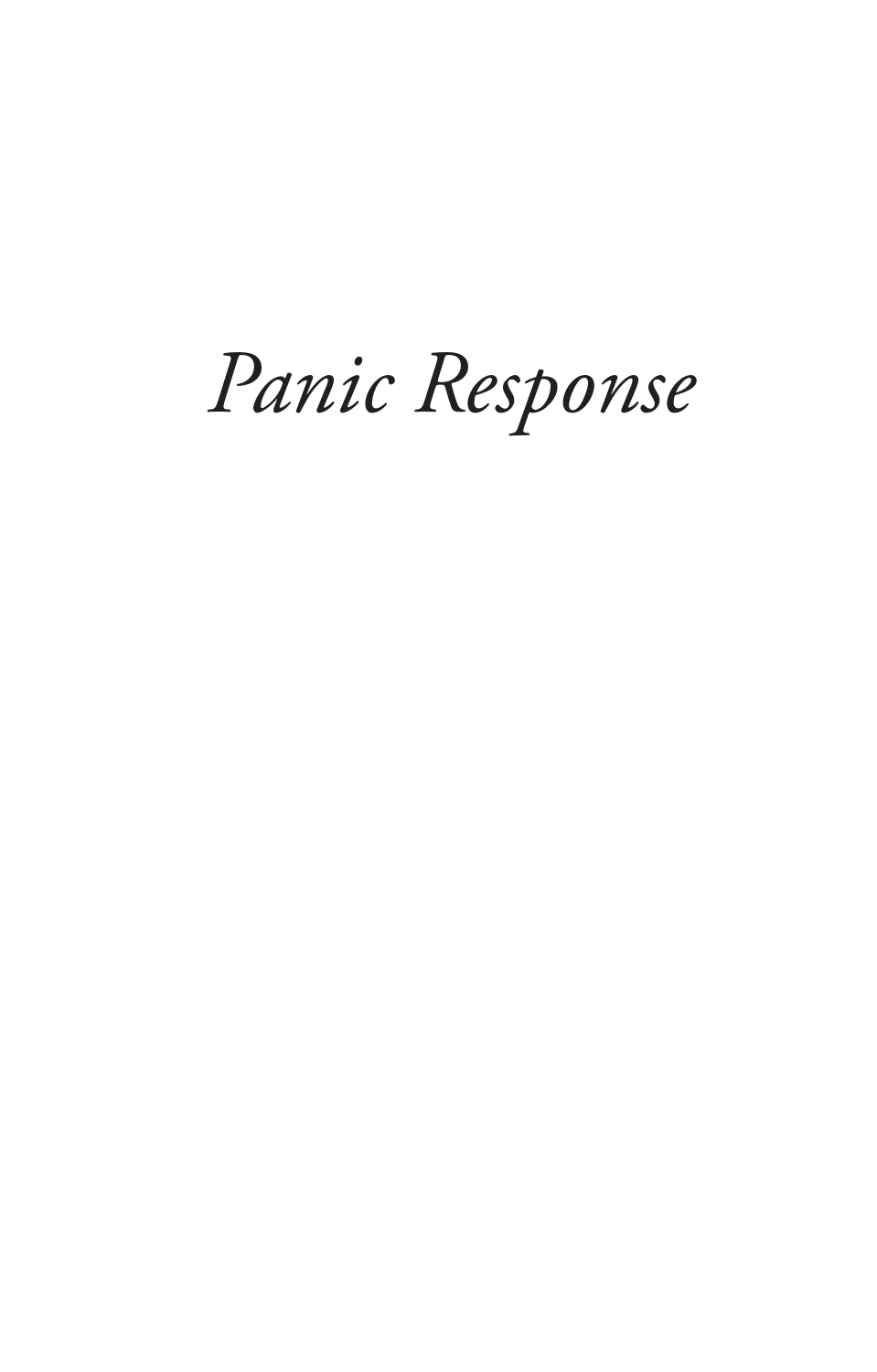# *Panic Response*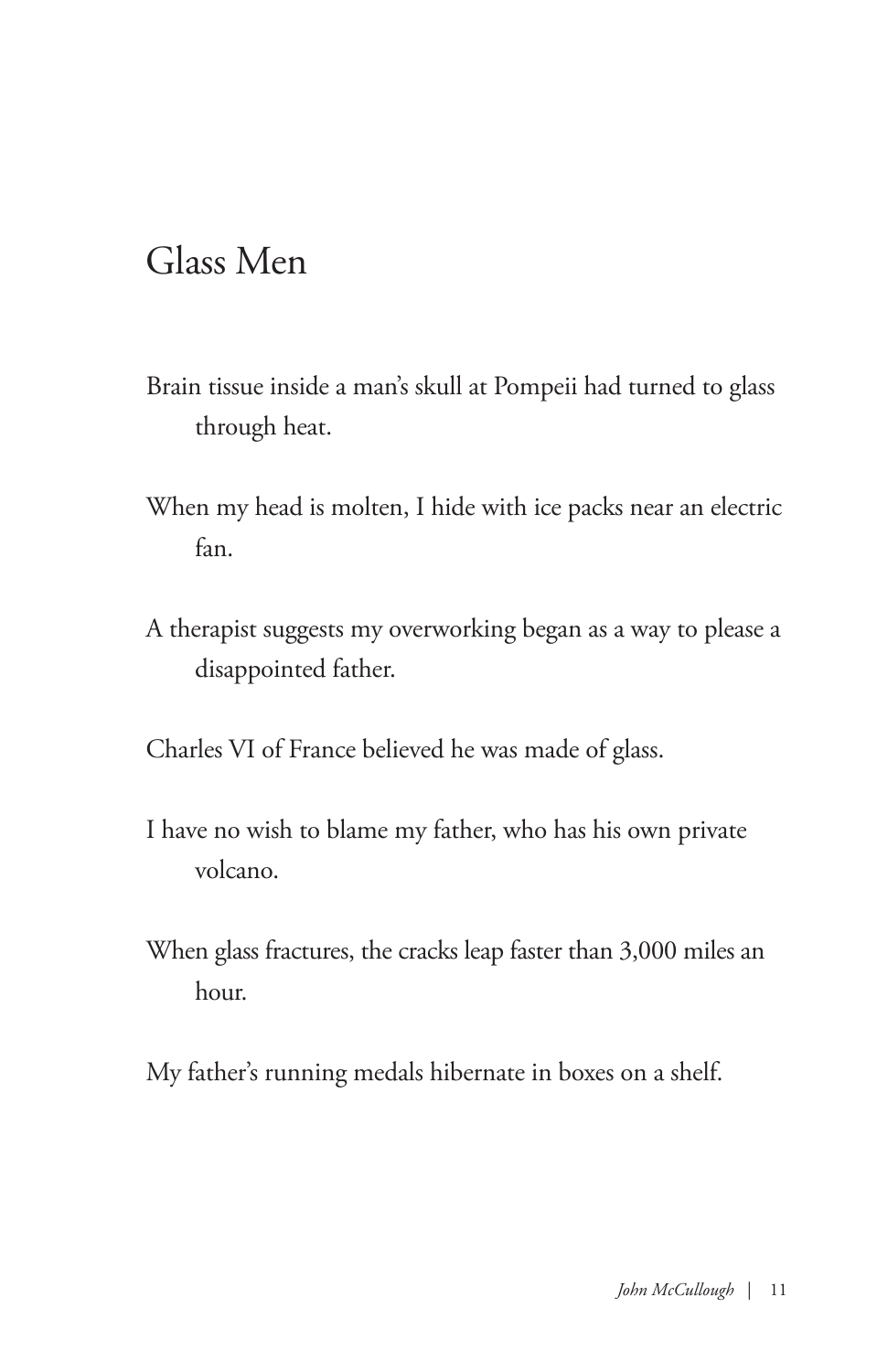## Glass Men

- Brain tissue inside a man's skull at Pompeii had turned to glass through heat.
- When my head is molten, I hide with ice packs near an electric fan.
- A therapist suggests my overworking began as a way to please a disappointed father.

Charles VI of France believed he was made of glass.

- I have no wish to blame my father, who has his own private volcano.
- When glass fractures, the cracks leap faster than 3,000 miles an hour.
- My father's running medals hibernate in boxes on a shelf.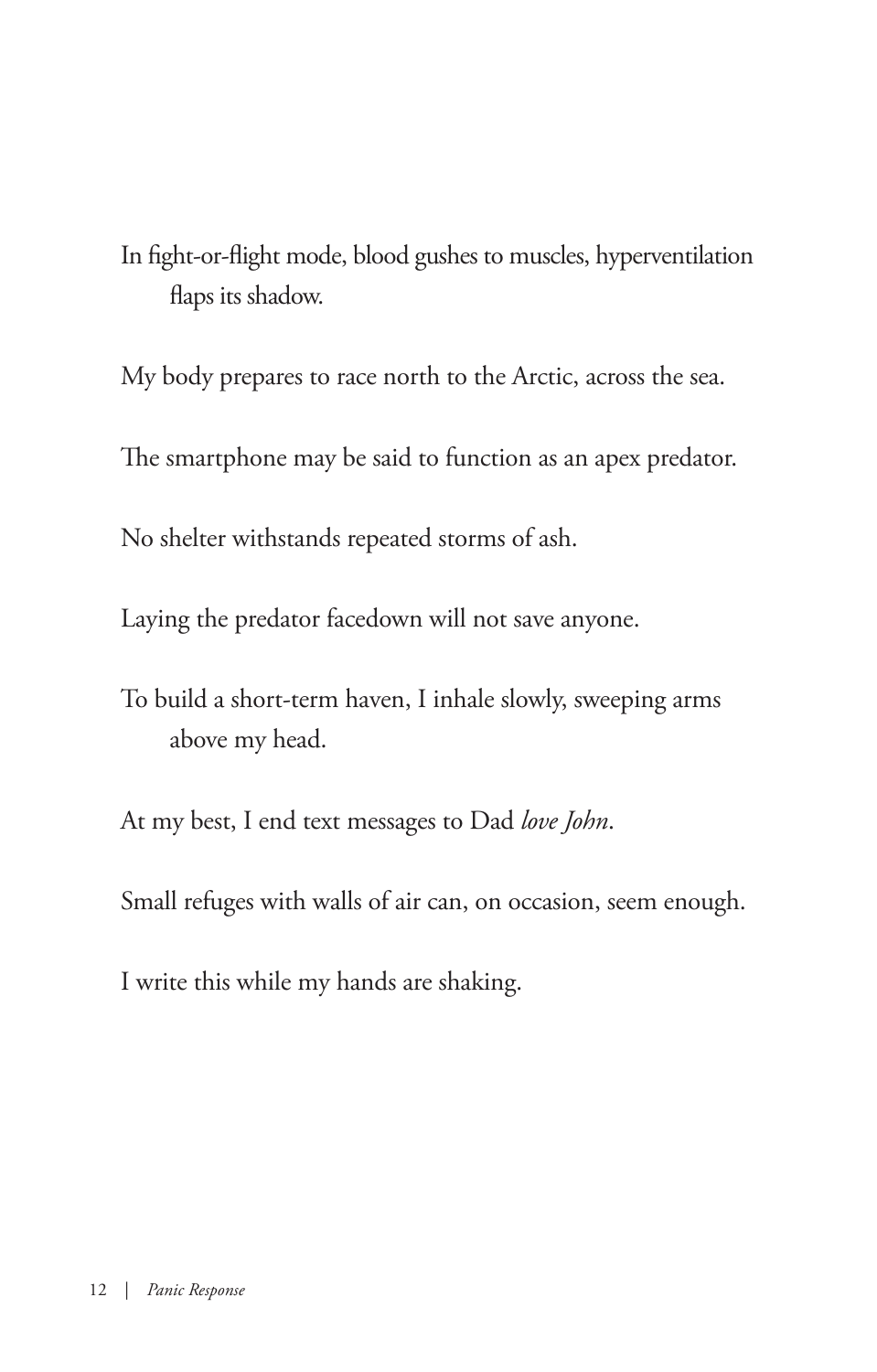In fight-or-flight mode, blood gushes to muscles, hyperventilation flaps its shadow.

My body prepares to race north to the Arctic, across the sea. The smartphone may be said to function as an apex predator.

No shelter withstands repeated storms of ash.

Laying the predator facedown will not save anyone.

To build a short-term haven, I inhale slowly, sweeping arms above my head.

At my best, I end text messages to Dad *love John*.

Small refuges with walls of air can, on occasion, seem enough.

I write this while my hands are shaking.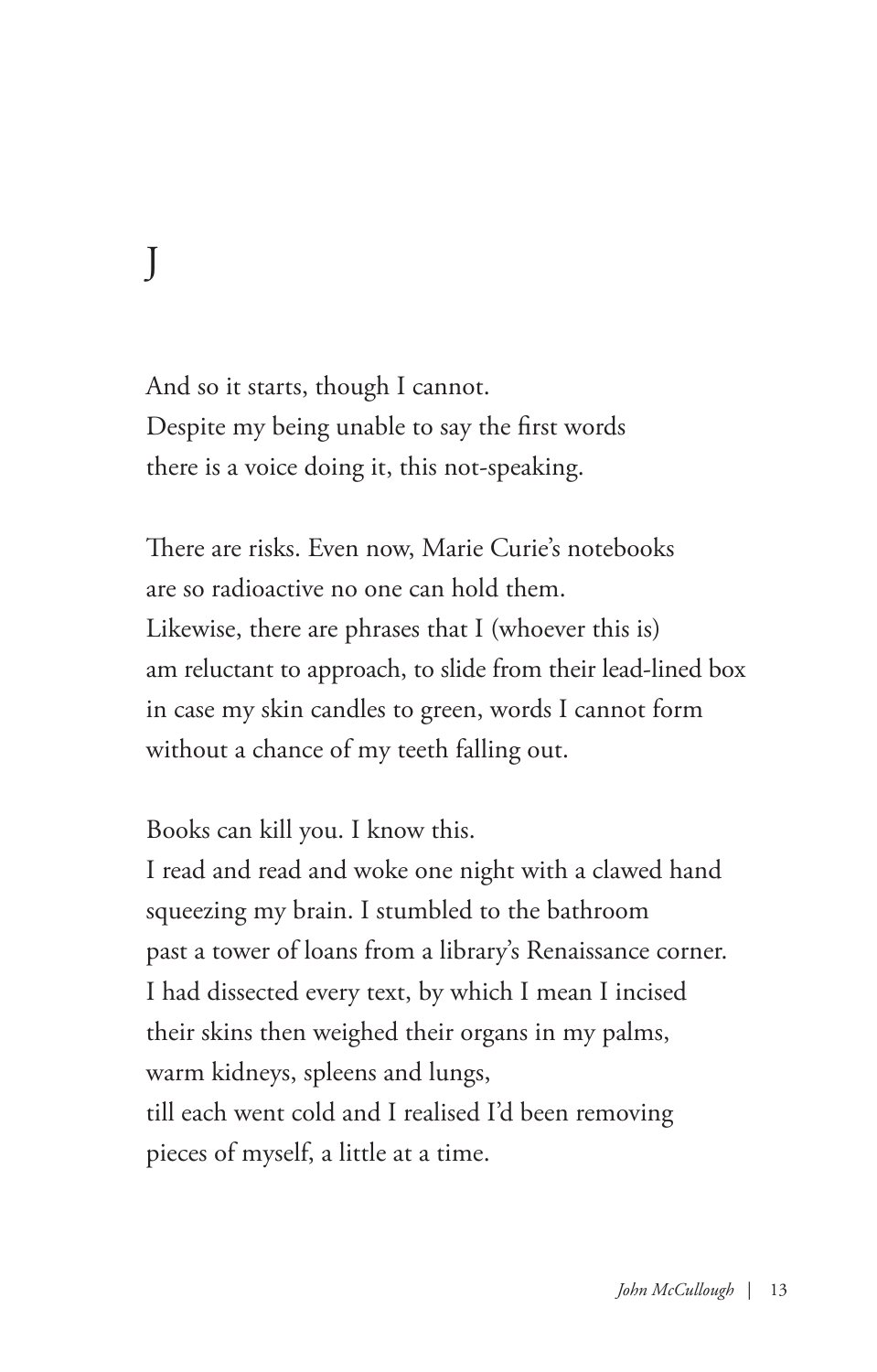J

And so it starts, though I cannot. Despite my being unable to say the first words there is a voice doing it, this not-speaking.

There are risks. Even now, Marie Curie's notebooks are so radioactive no one can hold them. Likewise, there are phrases that I (whoever this is) am reluctant to approach, to slide from their lead-lined box in case my skin candles to green, words I cannot form without a chance of my teeth falling out.

Books can kill you. I know this.

I read and read and woke one night with a clawed hand squeezing my brain. I stumbled to the bathroom past a tower of loans from a library's Renaissance corner. I had dissected every text, by which I mean I incised their skins then weighed their organs in my palms, warm kidneys, spleens and lungs, till each went cold and I realised I'd been removing pieces of myself, a little at a time.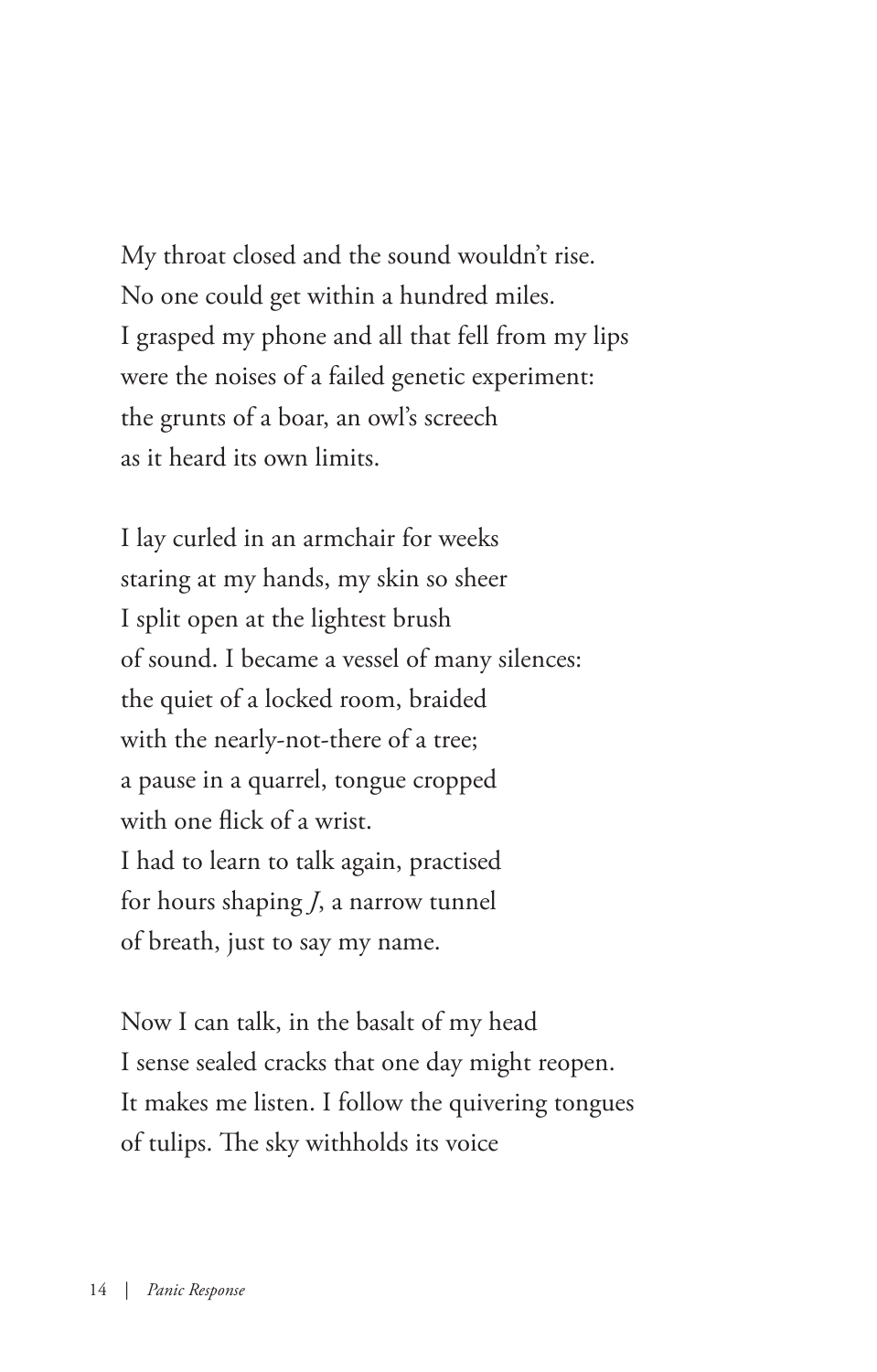My throat closed and the sound wouldn't rise. No one could get within a hundred miles. I grasped my phone and all that fell from my lips were the noises of a failed genetic experiment: the grunts of a boar, an owl's screech as it heard its own limits.

I lay curled in an armchair for weeks staring at my hands, my skin so sheer I split open at the lightest brush of sound. I became a vessel of many silences: the quiet of a locked room, braided with the nearly-not-there of a tree; a pause in a quarrel, tongue cropped with one flick of a wrist. I had to learn to talk again, practised for hours shaping *J*, a narrow tunnel of breath, just to say my name.

Now I can talk, in the basalt of my head I sense sealed cracks that one day might reopen. It makes me listen. I follow the quivering tongues of tulips. The sky withholds its voice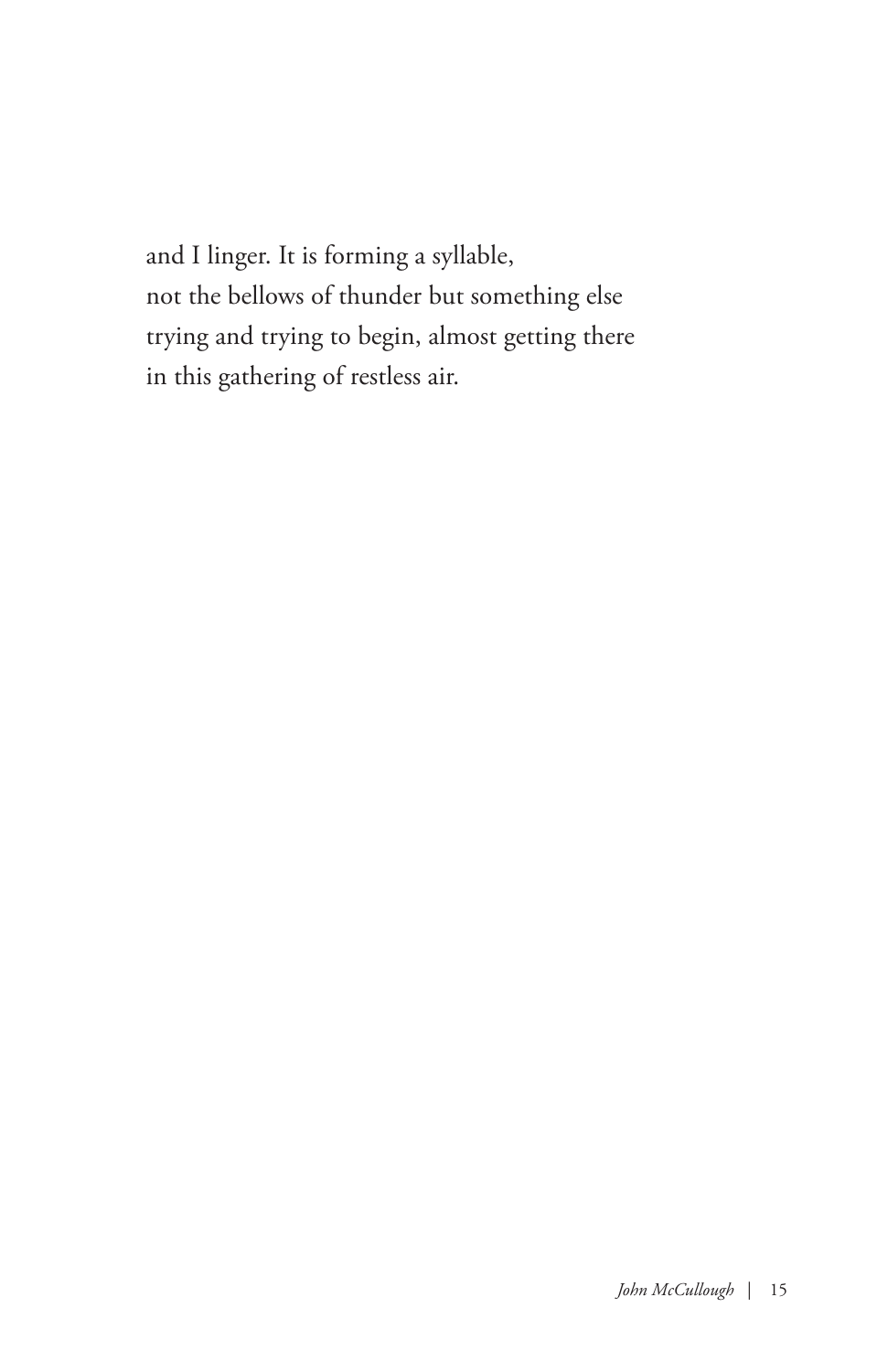and I linger. It is forming a syllable, not the bellows of thunder but something else trying and trying to begin, almost getting there in this gathering of restless air.